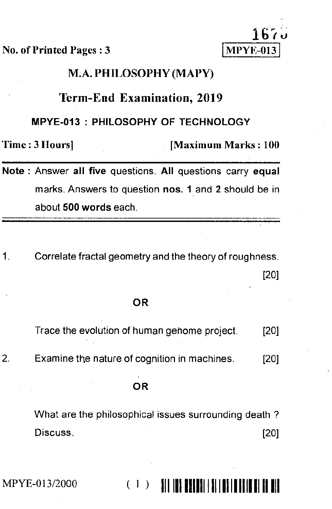No. of Printed Pages : 3



# M.A. PHILOSOPHY (MAPY)

# Term-End Examination, 2019

#### MPYE-013 : PHILOSOPHY OF TECHNOLOGY

Time : 3 Hours] [Maximum Marks : 100

Note : Answer all five questions. All questions carry equal marks. Answers to question nos. 1 and 2 should be in about 500 words each.

Correlate fractal geometry and the theory of roughness. 1 [20]

# OR

Trace the evolution of human gehome project. [20]

2. Examine the nature of cognition in machines. [20]

#### OR

What are the philosophical issues surrounding death ? Discuss. [20]

MPYE-013/2000 ' ) 1111111111111111111111111111111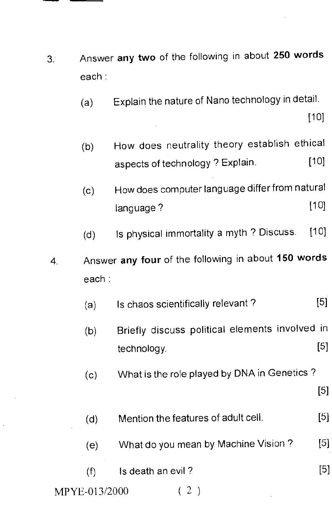- 3: Answer **any two** of the following in about **250 words**  each
	- (a) Explain the nature of Nano technology in detail.

[10]

- (b) How does neutrality theory establish ethical aspects of technology ? Explain. [10]
- (c) How does computer language differ from natural language ? [10]
- (d) Is physical immortality a myth ? Discuss. [10]
- 4. Answer **any four** of the following in about **150 words**  each:
	- (a) Is chaos scientifically relevant ? [5]
	- (b) Briefly discuss political elements involved in technology. [5]
	- (c) What is the role played by DNA in Genetics ?

[5]

- (d) Mention the features of adult cell. [51
- (e) What do you mean by Machine Vision ? [5]
- $(f)$  Is death an evil ? [5]

MPYE-013/2000 ( 2 )